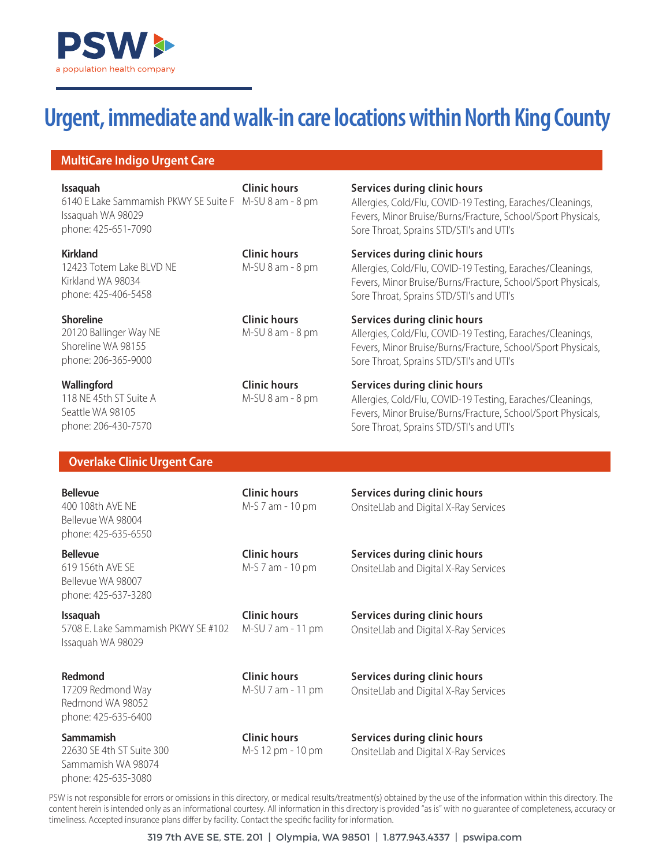

# **Urgent, immediate and walk-in care locations within North King County**

## **MultiCare Indigo Urgent Care**

6140 E Lake Sammamish PKWY SE Suite F M-SU 8 am - 8 pm Issaquah WA 98029 phone: 425-651-7090 **Issaquah**

12423 Totem Lake BLVD NE Kirkland WA 98034 phone: 425-406-5458 **Kirkland**

20120 Ballinger Way NE Shoreline WA 98155 phone: 206-365-9000 **Shoreline**

118 NE 45th ST Suite A Seattle WA 98105 phone: 206-430-7570 **Wallingford**

**Clinic hours**

**Clinic hours** M-SU 8 am - 8 pm

**Clinic hours** M-SU 8 am - 8 pm

**Clinic hours** M-SU 8 am - 8 pm

#### **Services during clinic hours**

Allergies, Cold/Flu, COVID-19 Testing, Earaches/Cleanings, Fevers, Minor Bruise/Burns/Fracture, School/Sport Physicals, Sore Throat, Sprains STD/STI's and UTI's

#### **Services during clinic hours**

Allergies, Cold/Flu, COVID-19 Testing, Earaches/Cleanings, Fevers, Minor Bruise/Burns/Fracture, School/Sport Physicals, Sore Throat, Sprains STD/STI's and UTI's

**Services during clinic hours** 

Allergies, Cold/Flu, COVID-19 Testing, Earaches/Cleanings, Fevers, Minor Bruise/Burns/Fracture, School/Sport Physicals, Sore Throat, Sprains STD/STI's and UTI's

#### **Services during clinic hours**

Allergies, Cold/Flu, COVID-19 Testing, Earaches/Cleanings, Fevers, Minor Bruise/Burns/Fracture, School/Sport Physicals, Sore Throat, Sprains STD/STI's and UTI's

## **Overlake Clinic Urgent Care**

400 108th AVE NE Bellevue WA 98004 phone: 425-635-6550 **Bellevue**

619 156th AVE SE Bellevue WA 98007 phone: 425-637-3280 **Bellevue**

5708 E. Lake Sammamish PKWY SE #102 Issaquah WA 98029 **Issaquah**

17209 Redmond Way Redmond WA 98052 phone: 425-635-6400 **Redmond**

22630 SE 4th ST Suite 300 Sammamish WA 98074 phone: 425-635-3080 **Sammamish**

**Clinic hours** M-S 7 am - 10 pm **Services during clinic hours**  OnsiteLlab and Digital X-Ray Services

**Clinic hours** M-S 7 am - 10 pm **Services during clinic hours**  OnsiteLlab and Digital X-Ray Services

**Clinic hours** M-SU 7 am - 11 pm **Services during clinic hours**  OnsiteLlab and Digital X-Ray Services

**Clinic hours** M-SU 7 am - 11 pm **Services during clinic hours**  OnsiteLlab and Digital X-Ray Services

**Clinic hours** M-S 12 pm - 10 pm **Services during clinic hours**  OnsiteLlab and Digital X-Ray Services

PSW is not responsible for errors or omissions in this directory, or medical results/treatment(s) obtained by the use of the information within this directory. The content herein is intended only as an informational courtesy. All information in this directory is provided "as is" with no guarantee of completeness, accuracy or timeliness. Accepted insurance plans differ by facility. Contact the specific facility for information.